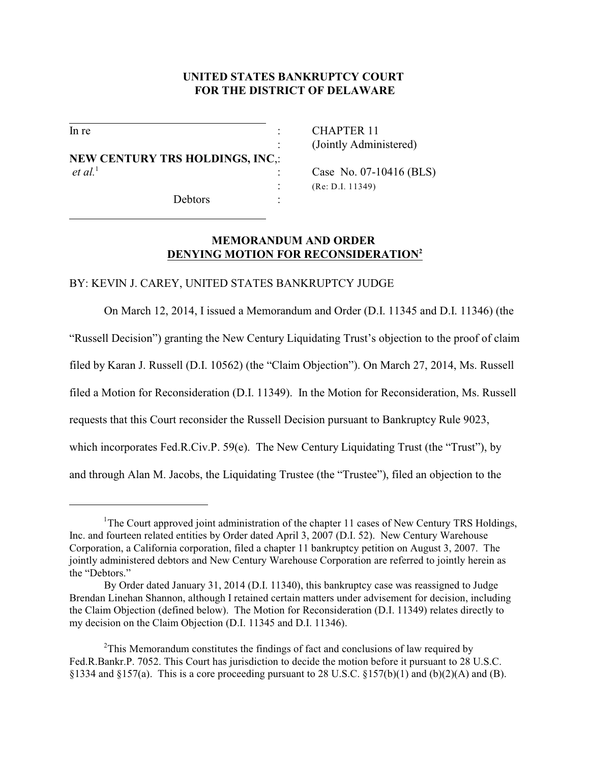## **UNITED STATES BANKRUPTCY COURT FOR THE DISTRICT OF DELAWARE**

l

l

**NEW CENTURY TRS HOLDINGS, INC**,: *et al.*<sup>1</sup> : Case No. 07-10416 (BLS)

Debtors :

In re : CHAPTER 11 : (Jointly Administered)

: (Re: D.I. 11349)

## **MEMORANDUM AND ORDER DENYING MOTION FOR RECONSIDERATION<sup>2</sup>**

## BY: KEVIN J. CAREY, UNITED STATES BANKRUPTCY JUDGE

On March 12, 2014, I issued a Memorandum and Order (D.I. 11345 and D.I. 11346) (the

"Russell Decision") granting the New Century Liquidating Trust's objection to the proof of claim

filed by Karan J. Russell (D.I. 10562) (the "Claim Objection"). On March 27, 2014, Ms. Russell

filed a Motion for Reconsideration (D.I. 11349). In the Motion for Reconsideration, Ms. Russell

requests that this Court reconsider the Russell Decision pursuant to Bankruptcy Rule 9023,

which incorporates Fed.R.Civ.P. 59(e). The New Century Liquidating Trust (the "Trust"), by

and through Alan M. Jacobs, the Liquidating Trustee (the "Trustee"), filed an objection to the

<sup>&</sup>lt;sup>1</sup>The Court approved joint administration of the chapter 11 cases of New Century TRS Holdings, Inc. and fourteen related entities by Order dated April 3, 2007 (D.I. 52). New Century Warehouse Corporation, a California corporation, filed a chapter 11 bankruptcy petition on August 3, 2007. The jointly administered debtors and New Century Warehouse Corporation are referred to jointly herein as the "Debtors."

By Order dated January 31, 2014 (D.I. 11340), this bankruptcy case was reassigned to Judge Brendan Linehan Shannon, although I retained certain matters under advisement for decision, including the Claim Objection (defined below). The Motion for Reconsideration (D.I. 11349) relates directly to my decision on the Claim Objection (D.I. 11345 and D.I. 11346).

<sup>&</sup>lt;sup>2</sup>This Memorandum constitutes the findings of fact and conclusions of law required by Fed.R.Bankr.P. 7052. This Court has jurisdiction to decide the motion before it pursuant to 28 U.S.C. §1334 and §157(a). This is a core proceeding pursuant to 28 U.S.C. §157(b)(1) and (b)(2)(A) and (B).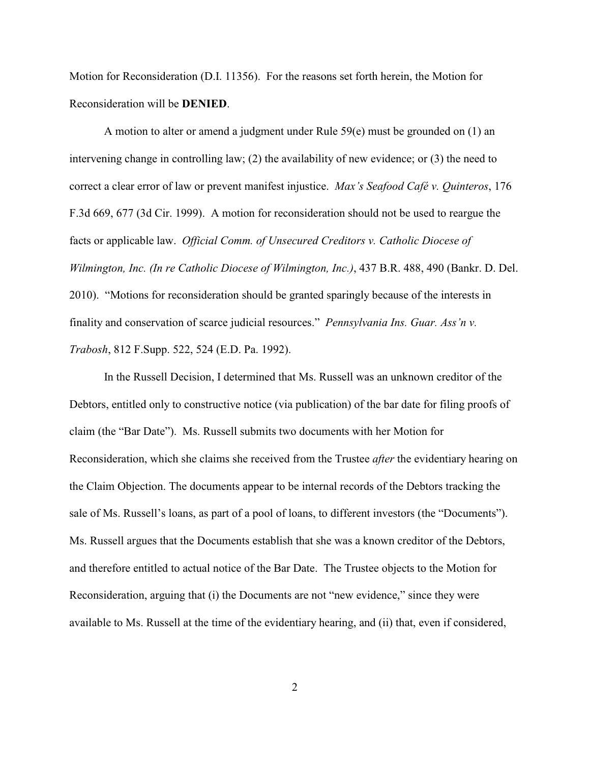Motion for Reconsideration (D.I. 11356). For the reasons set forth herein, the Motion for Reconsideration will be **DENIED**.

A motion to alter or amend a judgment under Rule 59(e) must be grounded on (1) an intervening change in controlling law; (2) the availability of new evidence; or (3) the need to correct a clear error of law or prevent manifest injustice. *Max's Seafood Café v. Quinteros*, 176 F.3d 669, 677 (3d Cir. 1999). A motion for reconsideration should not be used to reargue the facts or applicable law. *Official Comm. of Unsecured Creditors v. Catholic Diocese of Wilmington, Inc. (In re Catholic Diocese of Wilmington, Inc.)*, 437 B.R. 488, 490 (Bankr. D. Del. 2010). "Motions for reconsideration should be granted sparingly because of the interests in finality and conservation of scarce judicial resources." *Pennsylvania Ins. Guar. Ass'n v. Trabosh*, 812 F.Supp. 522, 524 (E.D. Pa. 1992).

In the Russell Decision, I determined that Ms. Russell was an unknown creditor of the Debtors, entitled only to constructive notice (via publication) of the bar date for filing proofs of claim (the "Bar Date"). Ms. Russell submits two documents with her Motion for Reconsideration, which she claims she received from the Trustee *after* the evidentiary hearing on the Claim Objection. The documents appear to be internal records of the Debtors tracking the sale of Ms. Russell's loans, as part of a pool of loans, to different investors (the "Documents"). Ms. Russell argues that the Documents establish that she was a known creditor of the Debtors, and therefore entitled to actual notice of the Bar Date. The Trustee objects to the Motion for Reconsideration, arguing that (i) the Documents are not "new evidence," since they were available to Ms. Russell at the time of the evidentiary hearing, and (ii) that, even if considered,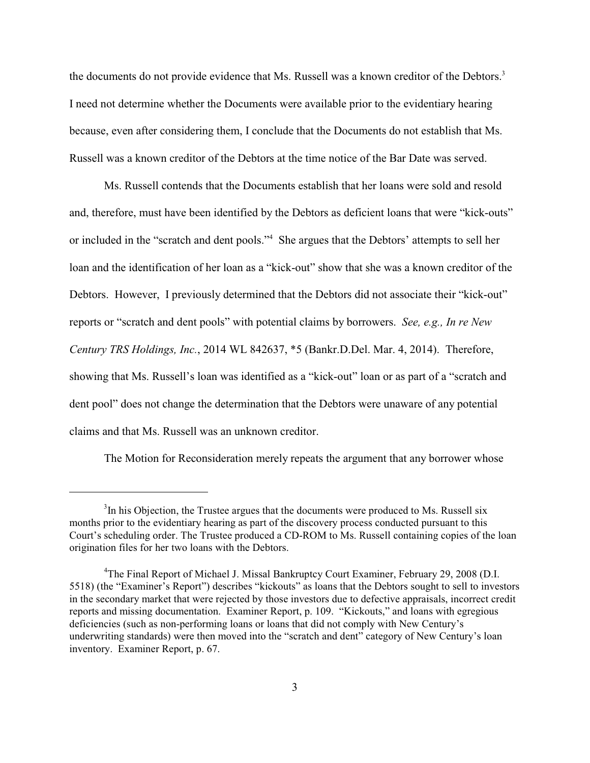the documents do not provide evidence that Ms. Russell was a known creditor of the Debtors.<sup>3</sup> I need not determine whether the Documents were available prior to the evidentiary hearing because, even after considering them, I conclude that the Documents do not establish that Ms. Russell was a known creditor of the Debtors at the time notice of the Bar Date was served.

Ms. Russell contends that the Documents establish that her loans were sold and resold and, therefore, must have been identified by the Debtors as deficient loans that were "kick-outs" or included in the "scratch and dent pools."<sup>4</sup> She argues that the Debtors' attempts to sell her loan and the identification of her loan as a "kick-out" show that she was a known creditor of the Debtors. However, I previously determined that the Debtors did not associate their "kick-out" reports or "scratch and dent pools" with potential claims by borrowers. *See, e.g., In re New Century TRS Holdings, Inc.*, 2014 WL 842637, \*5 (Bankr.D.Del. Mar. 4, 2014). Therefore, showing that Ms. Russell's loan was identified as a "kick-out" loan or as part of a "scratch and dent pool" does not change the determination that the Debtors were unaware of any potential claims and that Ms. Russell was an unknown creditor.

The Motion for Reconsideration merely repeats the argument that any borrower whose

 $3$ In his Objection, the Trustee argues that the documents were produced to Ms. Russell six months prior to the evidentiary hearing as part of the discovery process conducted pursuant to this Court's scheduling order. The Trustee produced a CD-ROM to Ms. Russell containing copies of the loan origination files for her two loans with the Debtors.

<sup>&</sup>lt;sup>4</sup>The Final Report of Michael J. Missal Bankruptcy Court Examiner, February 29, 2008 (D.I. 5518) (the "Examiner's Report") describes "kickouts" as loans that the Debtors sought to sell to investors in the secondary market that were rejected by those investors due to defective appraisals, incorrect credit reports and missing documentation. Examiner Report, p. 109. "Kickouts," and loans with egregious deficiencies (such as non-performing loans or loans that did not comply with New Century's underwriting standards) were then moved into the "scratch and dent" category of New Century's loan inventory. Examiner Report, p. 67.